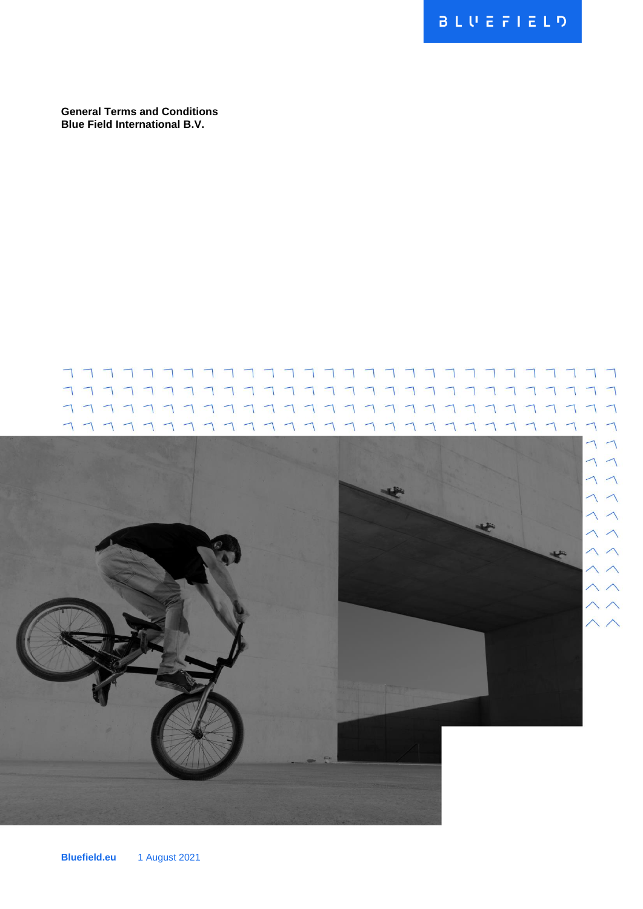**General Terms and Conditions Blue Field International B.V.**

#### 77777777777777777777777777  $\overline{\phantom{0}}$  $\Box$ 77777777777777777777  $\begin{array}{c} \begin{array}{c} \text{111} \\ \text{121} \end{array} \end{array}$  $\bigcap$

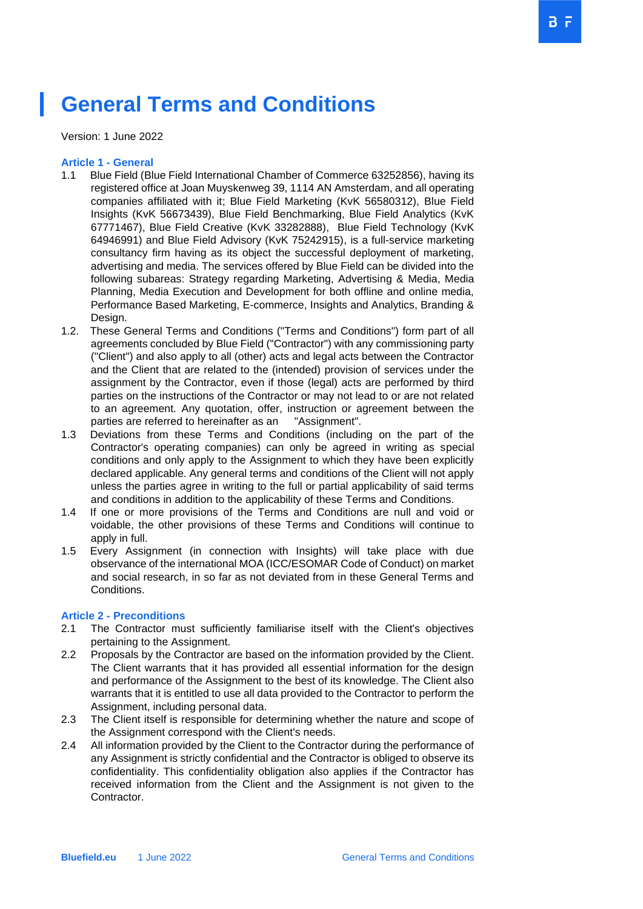# **General Terms and Conditions**

Version: 1 June 2022

#### **Article 1 - General**

- 1.1 Blue Field (Blue Field International Chamber of Commerce 63252856), having its registered office at Joan Muyskenweg 39, 1114 AN Amsterdam, and all operating companies affiliated with it; Blue Field Marketing (KvK 56580312), Blue Field Insights (KvK 56673439), Blue Field Benchmarking, Blue Field Analytics (KvK 67771467), Blue Field Creative (KvK 33282888), Blue Field Technology (KvK 64946991) and Blue Field Advisory (KvK 75242915), is a full-service marketing consultancy firm having as its object the successful deployment of marketing, advertising and media. The services offered by Blue Field can be divided into the following subareas: Strategy regarding Marketing, Advertising & Media, Media Planning, Media Execution and Development for both offline and online media, Performance Based Marketing, E-commerce, Insights and Analytics, Branding & Design.
- 1.2. These General Terms and Conditions ("Terms and Conditions") form part of all agreements concluded by Blue Field ("Contractor") with any commissioning party ("Client") and also apply to all (other) acts and legal acts between the Contractor and the Client that are related to the (intended) provision of services under the assignment by the Contractor, even if those (legal) acts are performed by third parties on the instructions of the Contractor or may not lead to or are not related to an agreement. Any quotation, offer, instruction or agreement between the parties are referred to hereinafter as an "Assignment".
- 1.3 Deviations from these Terms and Conditions (including on the part of the Contractor's operating companies) can only be agreed in writing as special conditions and only apply to the Assignment to which they have been explicitly declared applicable. Any general terms and conditions of the Client will not apply unless the parties agree in writing to the full or partial applicability of said terms and conditions in addition to the applicability of these Terms and Conditions.
- 1.4 If one or more provisions of the Terms and Conditions are null and void or voidable, the other provisions of these Terms and Conditions will continue to apply in full.
- 1.5 Every Assignment (in connection with Insights) will take place with due observance of the international MOA (ICC/ESOMAR Code of Conduct) on market and social research, in so far as not deviated from in these General Terms and Conditions.

## **Article 2 - Preconditions**

- 2.1 The Contractor must sufficiently familiarise itself with the Client's objectives pertaining to the Assignment.
- 2.2 Proposals by the Contractor are based on the information provided by the Client. The Client warrants that it has provided all essential information for the design and performance of the Assignment to the best of its knowledge. The Client also warrants that it is entitled to use all data provided to the Contractor to perform the Assignment, including personal data.
- 2.3 The Client itself is responsible for determining whether the nature and scope of the Assignment correspond with the Client's needs.
- 2.4 All information provided by the Client to the Contractor during the performance of any Assignment is strictly confidential and the Contractor is obliged to observe its confidentiality. This confidentiality obligation also applies if the Contractor has received information from the Client and the Assignment is not given to the Contractor.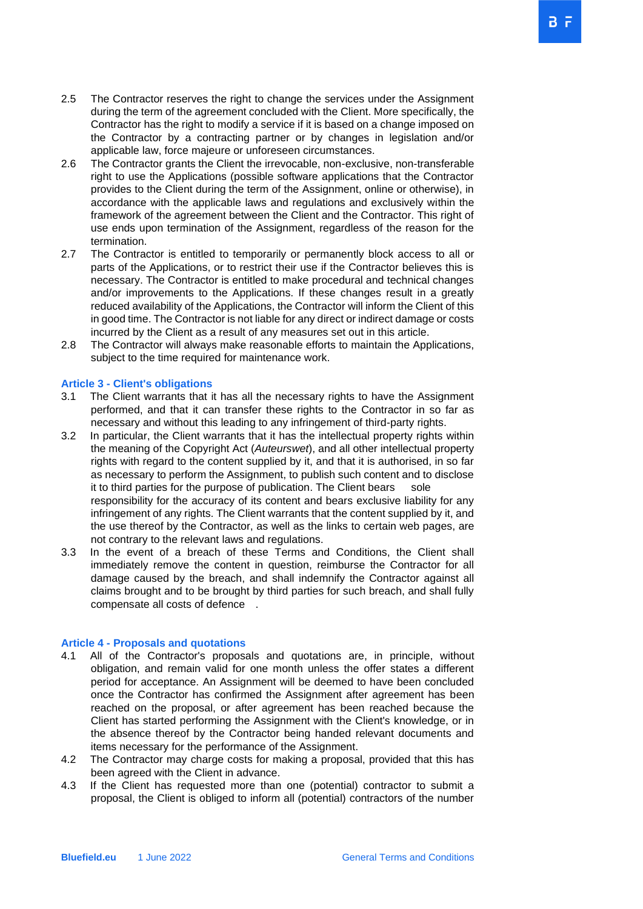- 2.5 The Contractor reserves the right to change the services under the Assignment during the term of the agreement concluded with the Client. More specifically, the Contractor has the right to modify a service if it is based on a change imposed on the Contractor by a contracting partner or by changes in legislation and/or applicable law, force majeure or unforeseen circumstances.
- 2.6 The Contractor grants the Client the irrevocable, non-exclusive, non-transferable right to use the Applications (possible software applications that the Contractor provides to the Client during the term of the Assignment, online or otherwise), in accordance with the applicable laws and regulations and exclusively within the framework of the agreement between the Client and the Contractor. This right of use ends upon termination of the Assignment, regardless of the reason for the termination.
- 2.7 The Contractor is entitled to temporarily or permanently block access to all or parts of the Applications, or to restrict their use if the Contractor believes this is necessary. The Contractor is entitled to make procedural and technical changes and/or improvements to the Applications. If these changes result in a greatly reduced availability of the Applications, the Contractor will inform the Client of this in good time. The Contractor is not liable for any direct or indirect damage or costs incurred by the Client as a result of any measures set out in this article.
- 2.8 The Contractor will always make reasonable efforts to maintain the Applications, subject to the time required for maintenance work.

## **Article 3 - Client's obligations**

- 3.1 The Client warrants that it has all the necessary rights to have the Assignment performed, and that it can transfer these rights to the Contractor in so far as necessary and without this leading to any infringement of third-party rights.
- 3.2 In particular, the Client warrants that it has the intellectual property rights within the meaning of the Copyright Act (*Auteurswet*), and all other intellectual property rights with regard to the content supplied by it, and that it is authorised, in so far as necessary to perform the Assignment, to publish such content and to disclose it to third parties for the purpose of publication. The Client bears sole responsibility for the accuracy of its content and bears exclusive liability for any infringement of any rights. The Client warrants that the content supplied by it, and the use thereof by the Contractor, as well as the links to certain web pages, are not contrary to the relevant laws and regulations.
- 3.3 In the event of a breach of these Terms and Conditions, the Client shall immediately remove the content in question, reimburse the Contractor for all damage caused by the breach, and shall indemnify the Contractor against all claims brought and to be brought by third parties for such breach, and shall fully compensate all costs of defence .

## **Article 4 - Proposals and quotations**

- 4.1 All of the Contractor's proposals and quotations are, in principle, without obligation, and remain valid for one month unless the offer states a different period for acceptance. An Assignment will be deemed to have been concluded once the Contractor has confirmed the Assignment after agreement has been reached on the proposal, or after agreement has been reached because the Client has started performing the Assignment with the Client's knowledge, or in the absence thereof by the Contractor being handed relevant documents and items necessary for the performance of the Assignment.
- 4.2 The Contractor may charge costs for making a proposal, provided that this has been agreed with the Client in advance.
- 4.3 If the Client has requested more than one (potential) contractor to submit a proposal, the Client is obliged to inform all (potential) contractors of the number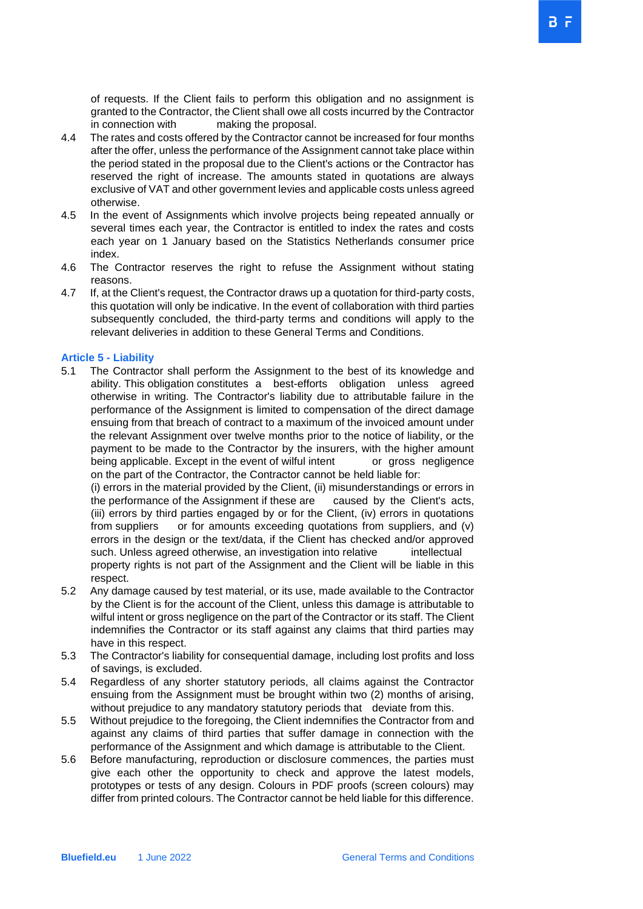of requests. If the Client fails to perform this obligation and no assignment is granted to the Contractor, the Client shall owe all costs incurred by the Contractor in connection with making the proposal.

- 4.4 The rates and costs offered by the Contractor cannot be increased for four months after the offer, unless the performance of the Assignment cannot take place within the period stated in the proposal due to the Client's actions or the Contractor has reserved the right of increase. The amounts stated in quotations are always exclusive of VAT and other government levies and applicable costs unless agreed otherwise.
- 4.5 In the event of Assignments which involve projects being repeated annually or several times each year, the Contractor is entitled to index the rates and costs each year on 1 January based on the Statistics Netherlands consumer price index.
- 4.6 The Contractor reserves the right to refuse the Assignment without stating reasons.
- 4.7 If, at the Client's request, the Contractor draws up a quotation for third-party costs, this quotation will only be indicative. In the event of collaboration with third parties subsequently concluded, the third-party terms and conditions will apply to the relevant deliveries in addition to these General Terms and Conditions.

#### **Article 5 - Liability**

5.1 The Contractor shall perform the Assignment to the best of its knowledge and ability. This obligation constitutes a best-efforts obligation unless agreed otherwise in writing. The Contractor's liability due to attributable failure in the performance of the Assignment is limited to compensation of the direct damage ensuing from that breach of contract to a maximum of the invoiced amount under the relevant Assignment over twelve months prior to the notice of liability, or the payment to be made to the Contractor by the insurers, with the higher amount being applicable. Except in the event of wilful intent or gross negligence on the part of the Contractor, the Contractor cannot be held liable for:

(i) errors in the material provided by the Client, (ii) misunderstandings or errors in the performance of the Assignment if these are caused by the Client's acts, (iii) errors by third parties engaged by or for the Client, (iv) errors in quotations from suppliers or for amounts exceeding quotations from suppliers, and (v) errors in the design or the text/data, if the Client has checked and/or approved such. Unless agreed otherwise, an investigation into relative intellectual property rights is not part of the Assignment and the Client will be liable in this respect.

- 5.2 Any damage caused by test material, or its use, made available to the Contractor by the Client is for the account of the Client, unless this damage is attributable to wilful intent or gross negligence on the part of the Contractor or its staff. The Client indemnifies the Contractor or its staff against any claims that third parties may have in this respect.
- 5.3 The Contractor's liability for consequential damage, including lost profits and loss of savings, is excluded.
- 5.4 Regardless of any shorter statutory periods, all claims against the Contractor ensuing from the Assignment must be brought within two (2) months of arising, without prejudice to any mandatory statutory periods that deviate from this.
- 5.5 Without prejudice to the foregoing, the Client indemnifies the Contractor from and against any claims of third parties that suffer damage in connection with the performance of the Assignment and which damage is attributable to the Client.
- 5.6 Before manufacturing, reproduction or disclosure commences, the parties must give each other the opportunity to check and approve the latest models, prototypes or tests of any design. Colours in PDF proofs (screen colours) may differ from printed colours. The Contractor cannot be held liable for this difference.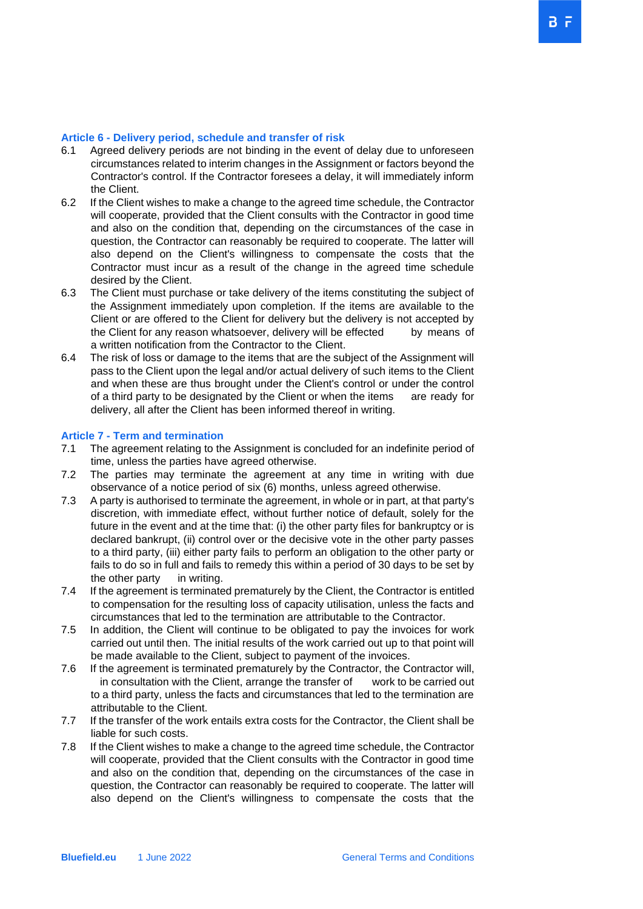#### **Article 6 - Delivery period, schedule and transfer of risk**

- 6.1Agreed delivery periods are not binding in the event of delay due to unforeseen circumstances related to interim changes in the Assignment or factors beyond the Contractor's control. If the Contractor foresees a delay, it will immediately inform the Client.
- 6.2 If the Client wishes to make a change to the agreed time schedule, the Contractor will cooperate, provided that the Client consults with the Contractor in good time and also on the condition that, depending on the circumstances of the case in question, the Contractor can reasonably be required to cooperate. The latter will also depend on the Client's willingness to compensate the costs that the Contractor must incur as a result of the change in the agreed time schedule desired by the Client.
- 6.3 The Client must purchase or take delivery of the items constituting the subject of the Assignment immediately upon completion. If the items are available to the Client or are offered to the Client for delivery but the delivery is not accepted by the Client for any reason whatsoever, delivery will be effected by means of a written notification from the Contractor to the Client.
- 6.4 The risk of loss or damage to the items that are the subject of the Assignment will pass to the Client upon the legal and/or actual delivery of such items to the Client and when these are thus brought under the Client's control or under the control of a third party to be designated by the Client or when the items are ready for delivery, all after the Client has been informed thereof in writing.

#### **Article 7 - Term and termination**

- 7.1 The agreement relating to the Assignment is concluded for an indefinite period of time, unless the parties have agreed otherwise.
- 7.2 The parties may terminate the agreement at any time in writing with due observance of a notice period of six (6) months, unless agreed otherwise.
- 7.3 A party is authorised to terminate the agreement, in whole or in part, at that party's discretion, with immediate effect, without further notice of default, solely for the future in the event and at the time that: (i) the other party files for bankruptcy or is declared bankrupt, (ii) control over or the decisive vote in the other party passes to a third party, (iii) either party fails to perform an obligation to the other party or fails to do so in full and fails to remedy this within a period of 30 days to be set by the other party in writing.
- 7.4 If the agreement is terminated prematurely by the Client, the Contractor is entitled to compensation for the resulting loss of capacity utilisation, unless the facts and circumstances that led to the termination are attributable to the Contractor.
- 7.5 In addition, the Client will continue to be obligated to pay the invoices for work carried out until then. The initial results of the work carried out up to that point will be made available to the Client, subject to payment of the invoices.
- 7.6 If the agreement is terminated prematurely by the Contractor, the Contractor will, in consultation with the Client, arrange the transfer of work to be carried out to a third party, unless the facts and circumstances that led to the termination are attributable to the Client.
- 7.7 If the transfer of the work entails extra costs for the Contractor, the Client shall be liable for such costs.
- 7.8 If the Client wishes to make a change to the agreed time schedule, the Contractor will cooperate, provided that the Client consults with the Contractor in good time and also on the condition that, depending on the circumstances of the case in question, the Contractor can reasonably be required to cooperate. The latter will also depend on the Client's willingness to compensate the costs that the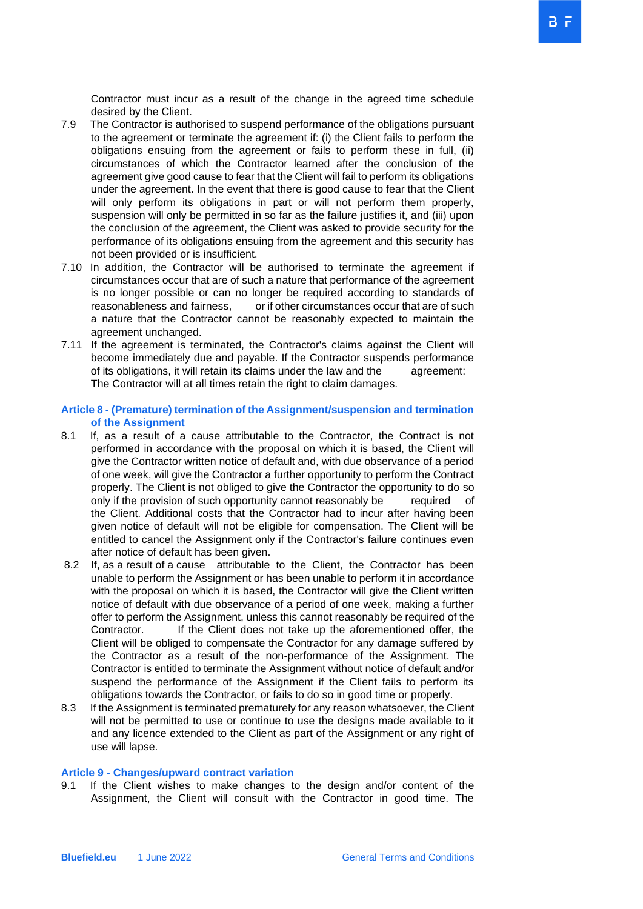Contractor must incur as a result of the change in the agreed time schedule desired by the Client.

- 7.9 The Contractor is authorised to suspend performance of the obligations pursuant to the agreement or terminate the agreement if: (i) the Client fails to perform the obligations ensuing from the agreement or fails to perform these in full, (ii) circumstances of which the Contractor learned after the conclusion of the agreement give good cause to fear that the Client will fail to perform its obligations under the agreement. In the event that there is good cause to fear that the Client will only perform its obligations in part or will not perform them properly, suspension will only be permitted in so far as the failure justifies it, and (iii) upon the conclusion of the agreement, the Client was asked to provide security for the performance of its obligations ensuing from the agreement and this security has not been provided or is insufficient.
- 7.10 In addition, the Contractor will be authorised to terminate the agreement if circumstances occur that are of such a nature that performance of the agreement is no longer possible or can no longer be required according to standards of reasonableness and fairness, or if other circumstances occur that are of such a nature that the Contractor cannot be reasonably expected to maintain the agreement unchanged.
- 7.11 If the agreement is terminated, the Contractor's claims against the Client will become immediately due and payable. If the Contractor suspends performance of its obligations, it will retain its claims under the law and the agreement: The Contractor will at all times retain the right to claim damages.

## **Article 8 - (Premature) termination of the Assignment/suspension and termination of the Assignment**

- 8.1 If, as a result of a cause attributable to the Contractor, the Contract is not performed in accordance with the proposal on which it is based, the Client will give the Contractor written notice of default and, with due observance of a period of one week, will give the Contractor a further opportunity to perform the Contract properly. The Client is not obliged to give the Contractor the opportunity to do so only if the provision of such opportunity cannot reasonably be required of the Client. Additional costs that the Contractor had to incur after having been given notice of default will not be eligible for compensation. The Client will be entitled to cancel the Assignment only if the Contractor's failure continues even after notice of default has been given.
- 8.2 If, as a result of a cause attributable to the Client, the Contractor has been unable to perform the Assignment or has been unable to perform it in accordance with the proposal on which it is based, the Contractor will give the Client written notice of default with due observance of a period of one week, making a further offer to perform the Assignment, unless this cannot reasonably be required of the Contractor. If the Client does not take up the aforementioned offer, the Client will be obliged to compensate the Contractor for any damage suffered by the Contractor as a result of the non-performance of the Assignment. The Contractor is entitled to terminate the Assignment without notice of default and/or suspend the performance of the Assignment if the Client fails to perform its obligations towards the Contractor, or fails to do so in good time or properly.
- 8.3 If the Assignment is terminated prematurely for any reason whatsoever, the Client will not be permitted to use or continue to use the designs made available to it and any licence extended to the Client as part of the Assignment or any right of use will lapse.

## **Article 9 - Changes/upward contract variation**

9.1 If the Client wishes to make changes to the design and/or content of the Assignment, the Client will consult with the Contractor in good time. The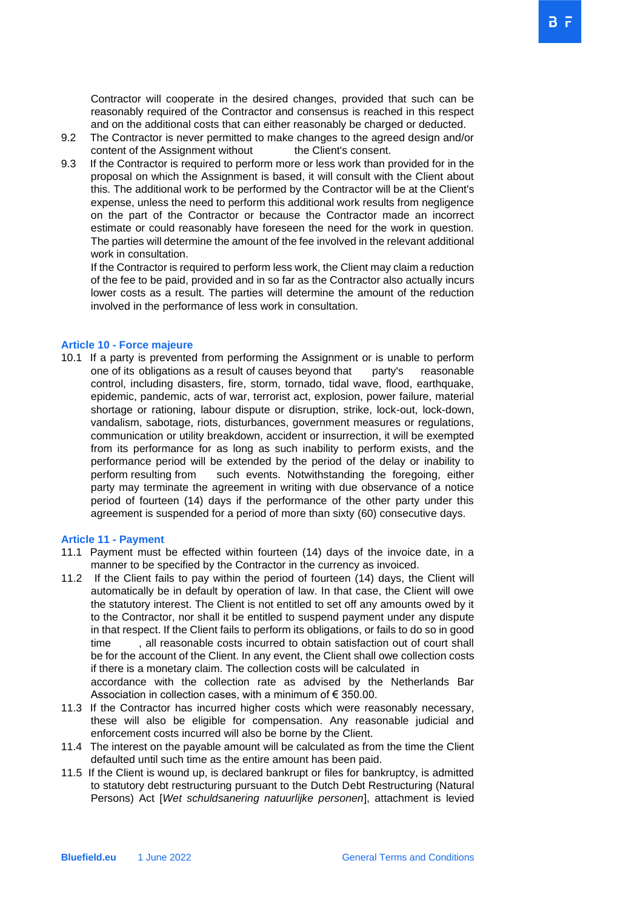Contractor will cooperate in the desired changes, provided that such can be reasonably required of the Contractor and consensus is reached in this respect and on the additional costs that can either reasonably be charged or deducted.

- 9.2 The Contractor is never permitted to make changes to the agreed design and/or content of the Assignment without the Client's consent.
- 9.3 If the Contractor is required to perform more or less work than provided for in the proposal on which the Assignment is based, it will consult with the Client about this. The additional work to be performed by the Contractor will be at the Client's expense, unless the need to perform this additional work results from negligence on the part of the Contractor or because the Contractor made an incorrect estimate or could reasonably have foreseen the need for the work in question. The parties will determine the amount of the fee involved in the relevant additional work in consultation.

If the Contractor is required to perform less work, the Client may claim a reduction of the fee to be paid, provided and in so far as the Contractor also actually incurs lower costs as a result. The parties will determine the amount of the reduction involved in the performance of less work in consultation.

#### **Article 10 - Force majeure**

10.1 If a party is prevented from performing the Assignment or is unable to perform one of its obligations as a result of causes beyond that party's reasonable control, including disasters, fire, storm, tornado, tidal wave, flood, earthquake, epidemic, pandemic, acts of war, terrorist act, explosion, power failure, material shortage or rationing, labour dispute or disruption, strike, lock-out, lock-down, vandalism, sabotage, riots, disturbances, government measures or regulations, communication or utility breakdown, accident or insurrection, it will be exempted from its performance for as long as such inability to perform exists, and the performance period will be extended by the period of the delay or inability to perform resulting from such events. Notwithstanding the foregoing, either party may terminate the agreement in writing with due observance of a notice period of fourteen (14) days if the performance of the other party under this agreement is suspended for a period of more than sixty (60) consecutive days.

## **Article 11 - Payment**

- 11.1 Payment must be effected within fourteen (14) days of the invoice date, in a manner to be specified by the Contractor in the currency as invoiced.
- 11.2 If the Client fails to pay within the period of fourteen (14) days, the Client will automatically be in default by operation of law. In that case, the Client will owe the statutory interest. The Client is not entitled to set off any amounts owed by it to the Contractor, nor shall it be entitled to suspend payment under any dispute in that respect. If the Client fails to perform its obligations, or fails to do so in good time , all reasonable costs incurred to obtain satisfaction out of court shall be for the account of the Client. In any event, the Client shall owe collection costs if there is a monetary claim. The collection costs will be calculated in accordance with the collection rate as advised by the Netherlands Bar Association in collection cases, with a minimum of € 350.00.
- 11.3 If the Contractor has incurred higher costs which were reasonably necessary, these will also be eligible for compensation. Any reasonable judicial and enforcement costs incurred will also be borne by the Client.
- 11.4 The interest on the payable amount will be calculated as from the time the Client defaulted until such time as the entire amount has been paid.
- 11.5 If the Client is wound up, is declared bankrupt or files for bankruptcy, is admitted to statutory debt restructuring pursuant to the Dutch Debt Restructuring (Natural Persons) Act [*Wet schuldsanering natuurlijke personen*], attachment is levied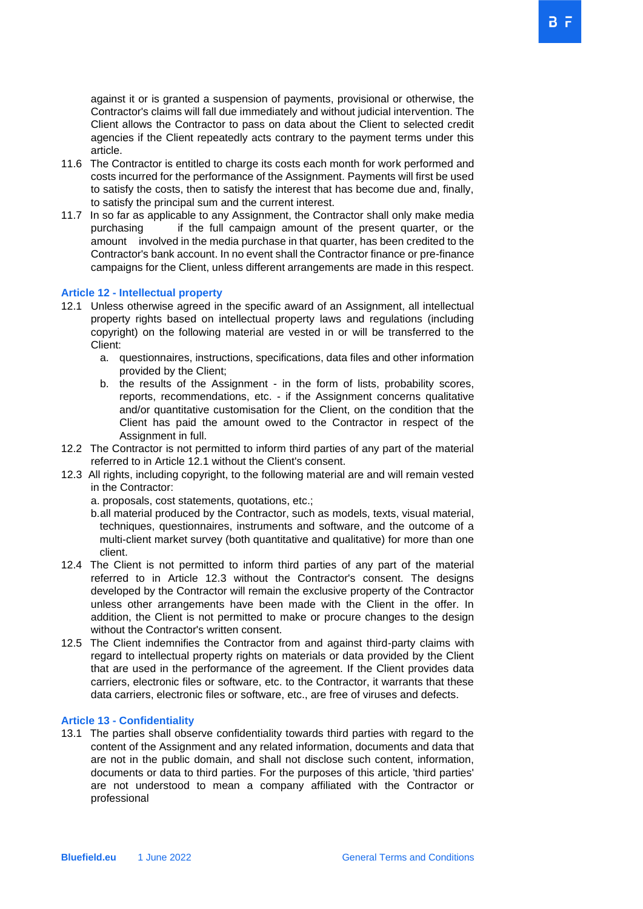against it or is granted a suspension of payments, provisional or otherwise, the Contractor's claims will fall due immediately and without judicial intervention. The Client allows the Contractor to pass on data about the Client to selected credit agencies if the Client repeatedly acts contrary to the payment terms under this article.

- 11.6 The Contractor is entitled to charge its costs each month for work performed and costs incurred for the performance of the Assignment. Payments will first be used to satisfy the costs, then to satisfy the interest that has become due and, finally, to satisfy the principal sum and the current interest.
- 11.7 In so far as applicable to any Assignment, the Contractor shall only make media purchasing if the full campaign amount of the present quarter, or the amount involved in the media purchase in that quarter, has been credited to the Contractor's bank account. In no event shall the Contractor finance or pre-finance campaigns for the Client, unless different arrangements are made in this respect.

#### **Article 12 - Intellectual property**

- 12.1 Unless otherwise agreed in the specific award of an Assignment, all intellectual property rights based on intellectual property laws and regulations (including copyright) on the following material are vested in or will be transferred to the Client:
	- a. questionnaires, instructions, specifications, data files and other information provided by the Client;
	- b. the results of the Assignment in the form of lists, probability scores, reports, recommendations, etc. - if the Assignment concerns qualitative and/or quantitative customisation for the Client, on the condition that the Client has paid the amount owed to the Contractor in respect of the Assignment in full.
- 12.2 The Contractor is not permitted to inform third parties of any part of the material referred to in Article 12.1 without the Client's consent.
- 12.3 All rights, including copyright, to the following material are and will remain vested in the Contractor:
	- a. proposals, cost statements, quotations, etc.;
	- b.all material produced by the Contractor, such as models, texts, visual material, techniques, questionnaires, instruments and software, and the outcome of a multi-client market survey (both quantitative and qualitative) for more than one client.
- 12.4 The Client is not permitted to inform third parties of any part of the material referred to in Article 12.3 without the Contractor's consent. The designs developed by the Contractor will remain the exclusive property of the Contractor unless other arrangements have been made with the Client in the offer. In addition, the Client is not permitted to make or procure changes to the design without the Contractor's written consent.
- 12.5 The Client indemnifies the Contractor from and against third-party claims with regard to intellectual property rights on materials or data provided by the Client that are used in the performance of the agreement. If the Client provides data carriers, electronic files or software, etc. to the Contractor, it warrants that these data carriers, electronic files or software, etc., are free of viruses and defects.

#### **Article 13 - Confidentiality**

13.1 The parties shall observe confidentiality towards third parties with regard to the content of the Assignment and any related information, documents and data that are not in the public domain, and shall not disclose such content, information, documents or data to third parties. For the purposes of this article, 'third parties' are not understood to mean a company affiliated with the Contractor or professional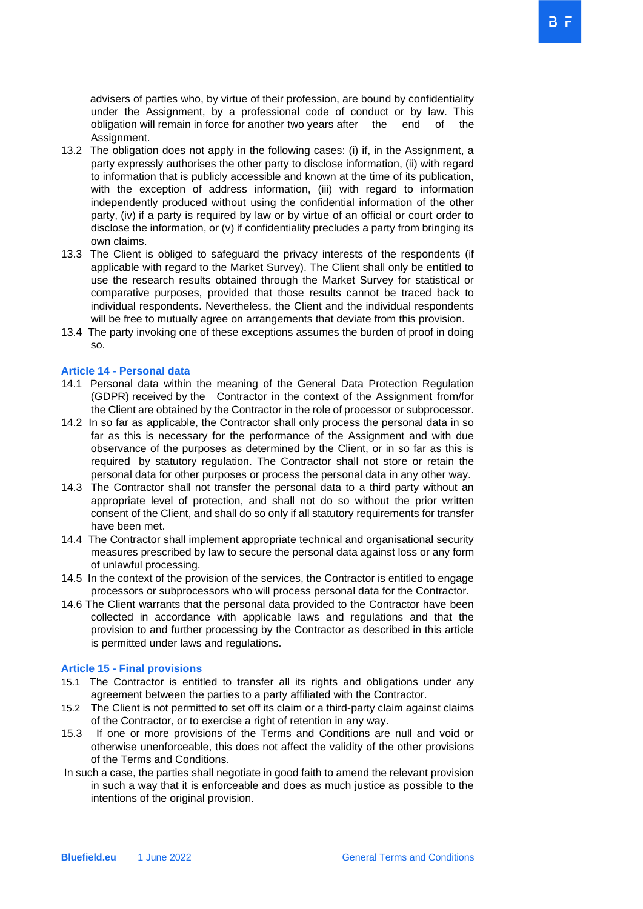advisers of parties who, by virtue of their profession, are bound by confidentiality under the Assignment, by a professional code of conduct or by law. This obligation will remain in force for another two years after the end of the Assignment.

- 13.2 The obligation does not apply in the following cases: (i) if, in the Assignment, a party expressly authorises the other party to disclose information, (ii) with regard to information that is publicly accessible and known at the time of its publication, with the exception of address information, (iii) with regard to information independently produced without using the confidential information of the other party, (iv) if a party is required by law or by virtue of an official or court order to disclose the information, or (v) if confidentiality precludes a party from bringing its own claims.
- 13.3 The Client is obliged to safeguard the privacy interests of the respondents (if applicable with regard to the Market Survey). The Client shall only be entitled to use the research results obtained through the Market Survey for statistical or comparative purposes, provided that those results cannot be traced back to individual respondents. Nevertheless, the Client and the individual respondents will be free to mutually agree on arrangements that deviate from this provision.
- 13.4 The party invoking one of these exceptions assumes the burden of proof in doing so.

#### **Article 14 - Personal data**

- 14.1 Personal data within the meaning of the General Data Protection Regulation (GDPR) received by the Contractor in the context of the Assignment from/for the Client are obtained by the Contractor in the role of processor or subprocessor.
- 14.2 In so far as applicable, the Contractor shall only process the personal data in so far as this is necessary for the performance of the Assignment and with due observance of the purposes as determined by the Client, or in so far as this is required by statutory regulation. The Contractor shall not store or retain the personal data for other purposes or process the personal data in any other way.
- 14.3 The Contractor shall not transfer the personal data to a third party without an appropriate level of protection, and shall not do so without the prior written consent of the Client, and shall do so only if all statutory requirements for transfer have been met.
- 14.4 The Contractor shall implement appropriate technical and organisational security measures prescribed by law to secure the personal data against loss or any form of unlawful processing.
- 14.5 In the context of the provision of the services, the Contractor is entitled to engage processors or subprocessors who will process personal data for the Contractor.
- 14.6 The Client warrants that the personal data provided to the Contractor have been collected in accordance with applicable laws and regulations and that the provision to and further processing by the Contractor as described in this article is permitted under laws and regulations.

#### **Article 15 - Final provisions**

- 15.1 The Contractor is entitled to transfer all its rights and obligations under any agreement between the parties to a party affiliated with the Contractor.
- 15.2 The Client is not permitted to set off its claim or a third-party claim against claims of the Contractor, or to exercise a right of retention in any way.
- 15.3 If one or more provisions of the Terms and Conditions are null and void or otherwise unenforceable, this does not affect the validity of the other provisions of the Terms and Conditions.
- In such a case, the parties shall negotiate in good faith to amend the relevant provision in such a way that it is enforceable and does as much justice as possible to the intentions of the original provision.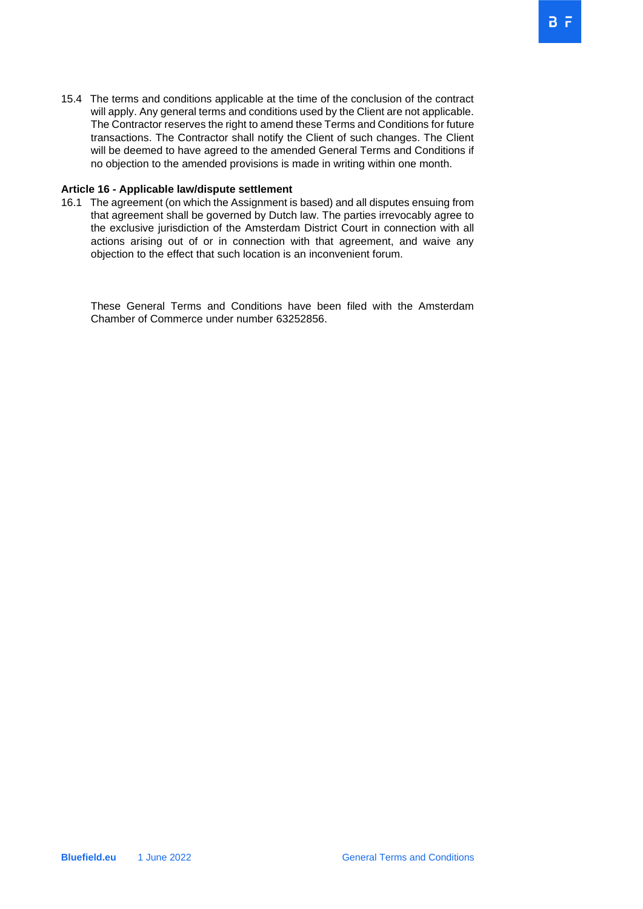15.4 The terms and conditions applicable at the time of the conclusion of the contract will apply. Any general terms and conditions used by the Client are not applicable. The Contractor reserves the right to amend these Terms and Conditions for future transactions. The Contractor shall notify the Client of such changes. The Client will be deemed to have agreed to the amended General Terms and Conditions if no objection to the amended provisions is made in writing within one month.

## **Article 16 - Applicable law/dispute settlement**

16.1 The agreement (on which the Assignment is based) and all disputes ensuing from that agreement shall be governed by Dutch law. The parties irrevocably agree to the exclusive jurisdiction of the Amsterdam District Court in connection with all actions arising out of or in connection with that agreement, and waive any objection to the effect that such location is an inconvenient forum.

 These General Terms and Conditions have been filed with the Amsterdam Chamber of Commerce under number 63252856.